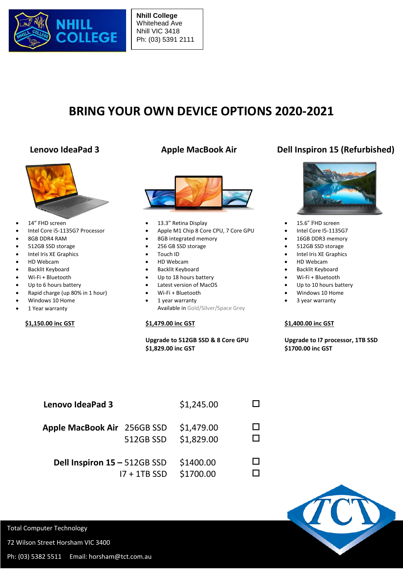

**Nhill College** Whitehead Ave Nhill VIC 3418 Ph: (03) 5391 2111

# **BRING YOUR OWN DEVICE OPTIONS 2020-2021**



- 14" FHD screen
- Intel Core i5-1135G7 Processor
- 8GB DDR4 RAM
- 512GB SSD storage
- Intel Iris XE Graphics
- HD Webcam
- Backlit Keyboard
- Wi-Fi + Bluetooth
- Up to 6 hours battery
- Rapid charge (up 80% in 1 hour)
- Windows 10 Home
- 1 Year warranty

### **\$1,150.00 inc GST**



- 13.3" Retina Display
- Apple M1 Chip 8 Core CPU, 7 Core GPU
- 8GB integrated memory
- 256 GB SSD storage
- Touch ID
- HD Webcam
- **•** Backlit Keyboard
- Up to 18 hours battery
- Latest version of MacOS
- Wi-Fi + Bluetooth
- 1 year warranty

Available in Gold/Silver/Space Grey

### **\$1,479.00 inc GST**

#### **Upgrade to 512GB SSD & 8 Core GPU \$1,829.00 inc GST**

## **Lenovo IdeaPad 3 Apple MacBook Air Dell Inspiron 15 (Refurbished)**



- 15.6" FHD screen
- Intel Core I5-1135G7
- 16GB DDR3 memory
- 512GB SSD storage
- Intel Iris XE Graphics
- HD Webcam
- Backlit Keyboard
- Wi-Fi + Bluetooth
- Up to 10 hours battery
- Windows 10 Home
- 3 year warranty

#### **\$1,400.00 inc GST**

 **Upgrade to I7 processor, 1TB SSD \$1700.00 inc GST**

| Lenovo IdeaPad 3             |                | \$1,245.00               |  |
|------------------------------|----------------|--------------------------|--|
| Apple MacBook Air 256GB SSD  | 512GB SSD      | \$1,479.00<br>\$1,829.00 |  |
| Dell Inspiron 15 - 512GB SSD | $17 + 1TB$ SSD | \$1400.00<br>\$1700.00   |  |



Total Computer Technology

72 Wilson Street Horsham VIC 3400

Ph: (03) 5382 5511 Email: horsham@tct.com.au